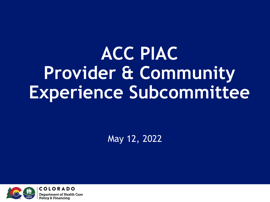## **ACC PIAC Provider & Community Experience Subcommittee**

May 12, 2022

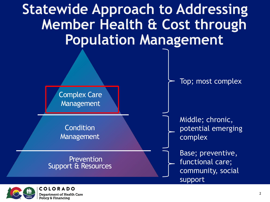



**Condition** Management

**Prevention** Support & Resources Top; most complex

Middle; chronic, potential emerging complex

Base; preventive, functional care; community, social support

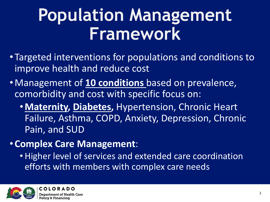### **Population Management Framework**

- Targeted interventions for populations and conditions to improve health and reduce cost
- •Management of **10 conditions** based on prevalence, comorbidity and cost with specific focus on:
	- •**Maternity, Diabetes,** Hypertension, Chronic Heart Failure, Asthma, COPD, Anxiety, Depression, Chronic Pain, and SUD
- •**Complex Care Management**:
	- Higher level of services and extended care coordination efforts with members with complex care needs

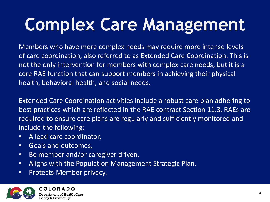# **Complex Care Management**

Members who have more complex needs may require more intense levels of care coordination, also referred to as Extended Care Coordination. This is not the only intervention for members with complex care needs, but it is a core RAE function that can support members in achieving their physical health, behavioral health, and social needs.

Extended Care Coordination activities include a robust care plan adhering to best practices which are reflected in the RAE contract Section 11.3. RAEs are required to ensure care plans are regularly and sufficiently monitored and include the following:

- A lead care coordinator,
- Goals and outcomes,
- Be member and/or caregiver driven.
- Aligns with the Population Management Strategic Plan.
- Protects Member privacy.

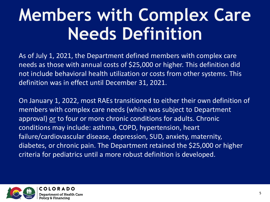### **Members with Complex Care Needs Definition**

As of July 1, 2021, the Department defined members with complex care needs as those with annual costs of \$25,000 or higher. This definition did not include behavioral health utilization or costs from other systems. This definition was in effect until December 31, 2021.

On January 1, 2022, most RAEs transitioned to either their own definition of members with complex care needs (which was subject to Department approval) or to four or more chronic conditions for adults. Chronic conditions may include: asthma, COPD, hypertension, heart failure/cardiovascular disease, depression, SUD, anxiety, maternity, diabetes, or chronic pain. The Department retained the \$25,000 or higher criteria for pediatrics until a more robust definition is developed.

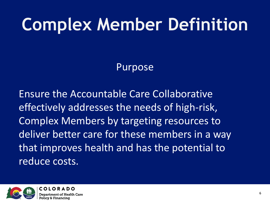### **Complex Member Definition**

#### Purpose

Ensure the Accountable Care Collaborative effectively addresses the needs of high-risk, Complex Members by targeting resources to deliver better care for these members in a way that improves health and has the potential to reduce costs.

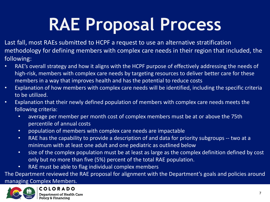## **RAE Proposal Process**

Last fall, most RAEs submitted to HCPF a request to use an alternative stratification methodology for defining members with complex care needs in their region that included, the following:

- RAE's overall strategy and how it aligns with the HCPF purpose of effectively addressing the needs of high-risk, members with complex care needs by targeting resources to deliver better care for these members in a way that improves health and has the potential to reduce costs
- Explanation of how members with complex care needs will be identified, including the specific criteria to be utilized.
- Explanation that their newly defined population of members with complex care needs meets the following criteria:
	- average per member per month cost of complex members must be at or above the 75th percentile of annual costs
	- population of members with complex care needs are impactable
	- RAE has the capability to provide a description of and data for priority subgroups -- two at a minimum with at least one adult and one pediatric as outlined below
	- size of the complex population must be at least as large as the complex definition defined by cost only but no more than five (5%) percent of the total RAE population.
	- RAE must be able to flag individual complex members

The Department reviewed the RAE proposal for alignment with the Department's goals and policies around

managing Complex Members.